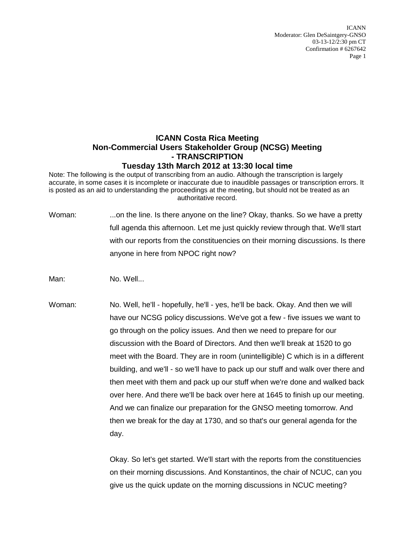ICANN Moderator: Glen DeSaintgery-GNSO 03-13-12/2:30 pm CT Confirmation # 6267642 Page 1

## **ICANN Costa Rica Meeting Non-Commercial Users Stakeholder Group (NCSG) Meeting - TRANSCRIPTION Tuesday 13th March 2012 at 13:30 local time**

Note: The following is the output of transcribing from an audio. Although the transcription is largely accurate, in some cases it is incomplete or inaccurate due to inaudible passages or transcription errors. It is posted as an aid to understanding the proceedings at the meeting, but should not be treated as an authoritative record.

Woman: ...on the line. Is there anyone on the line? Okay, thanks. So we have a pretty full agenda this afternoon. Let me just quickly review through that. We'll start with our reports from the constituencies on their morning discussions. Is there anyone in here from NPOC right now?

Man: No. Well...

Woman: No. Well, he'll - hopefully, he'll - yes, he'll be back. Okay. And then we will have our NCSG policy discussions. We've got a few - five issues we want to go through on the policy issues. And then we need to prepare for our discussion with the Board of Directors. And then we'll break at 1520 to go meet with the Board. They are in room (unintelligible) C which is in a different building, and we'll - so we'll have to pack up our stuff and walk over there and then meet with them and pack up our stuff when we're done and walked back over here. And there we'll be back over here at 1645 to finish up our meeting. And we can finalize our preparation for the GNSO meeting tomorrow. And then we break for the day at 1730, and so that's our general agenda for the day.

> Okay. So let's get started. We'll start with the reports from the constituencies on their morning discussions. And Konstantinos, the chair of NCUC, can you give us the quick update on the morning discussions in NCUC meeting?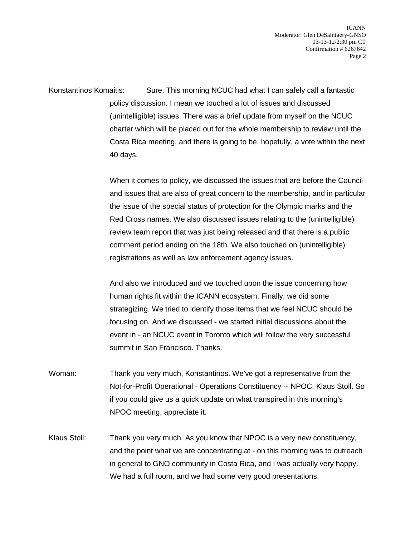ICANN Moderator: Glen DeSaintgery-GNSO 03-13-12/2:30 pm CT Confirmation # 6267642 Page 2

Konstantinos Komaitis: Sure. This morning NCUC had what I can safely call a fantastic policy discussion. I mean we touched a lot of issues and discussed (unintelligible) issues. There was a brief update from myself on the NCUC charter which will be placed out for the whole membership to review until the Costa Rica meeting, and there is going to be, hopefully, a vote within the next 40 days.

> When it comes to policy, we discussed the issues that are before the Council and issues that are also of great concern to the membership, and in particular the issue of the special status of protection for the Olympic marks and the Red Cross names. We also discussed issues relating to the (unintelligible) review team report that was just being released and that there is a public comment period ending on the 18th. We also touched on (unintelligible) registrations as well as law enforcement agency issues.

And also we introduced and we touched upon the issue concerning how human rights fit within the ICANN ecosystem. Finally, we did some strategizing. We tried to identify those items that we feel NCUC should be focusing on. And we discussed - we started initial discussions about the event in - an NCUC event in Toronto which will follow the very successful summit in San Francisco. Thanks.

- Woman: Thank you very much, Konstantinos. We've got a representative from the Not-for-Profit Operational - Operations Constituency -- NPOC, Klaus Stoll. So if you could give us a quick update on what transpired in this morning's NPOC meeting, appreciate it.
- Klaus Stoll: Thank you very much. As you know that NPOC is a very new constituency, and the point what we are concentrating at - on this morning was to outreach in general to GNO community in Costa Rica, and I was actually very happy. We had a full room, and we had some very good presentations.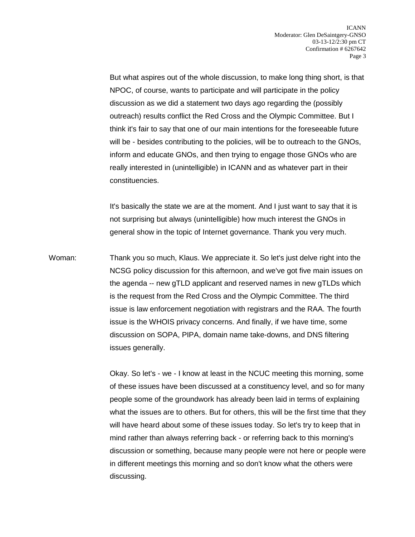But what aspires out of the whole discussion, to make long thing short, is that NPOC, of course, wants to participate and will participate in the policy discussion as we did a statement two days ago regarding the (possibly outreach) results conflict the Red Cross and the Olympic Committee. But I think it's fair to say that one of our main intentions for the foreseeable future will be - besides contributing to the policies, will be to outreach to the GNOs, inform and educate GNOs, and then trying to engage those GNOs who are really interested in (unintelligible) in ICANN and as whatever part in their constituencies.

It's basically the state we are at the moment. And I just want to say that it is not surprising but always (unintelligible) how much interest the GNOs in general show in the topic of Internet governance. Thank you very much.

Woman: Thank you so much, Klaus. We appreciate it. So let's just delve right into the NCSG policy discussion for this afternoon, and we've got five main issues on the agenda -- new gTLD applicant and reserved names in new gTLDs which is the request from the Red Cross and the Olympic Committee. The third issue is law enforcement negotiation with registrars and the RAA. The fourth issue is the WHOIS privacy concerns. And finally, if we have time, some discussion on SOPA, PIPA, domain name take-downs, and DNS filtering issues generally.

> Okay. So let's - we - I know at least in the NCUC meeting this morning, some of these issues have been discussed at a constituency level, and so for many people some of the groundwork has already been laid in terms of explaining what the issues are to others. But for others, this will be the first time that they will have heard about some of these issues today. So let's try to keep that in mind rather than always referring back - or referring back to this morning's discussion or something, because many people were not here or people were in different meetings this morning and so don't know what the others were discussing.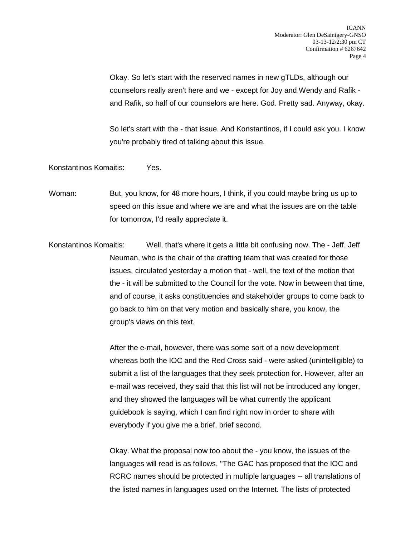Okay. So let's start with the reserved names in new gTLDs, although our counselors really aren't here and we - except for Joy and Wendy and Rafik and Rafik, so half of our counselors are here. God. Pretty sad. Anyway, okay.

So let's start with the - that issue. And Konstantinos, if I could ask you. I know you're probably tired of talking about this issue.

Konstantinos Komaitis: Yes.

Woman: But, you know, for 48 more hours, I think, if you could maybe bring us up to speed on this issue and where we are and what the issues are on the table for tomorrow, I'd really appreciate it.

Konstantinos Komaitis: Well, that's where it gets a little bit confusing now. The - Jeff, Jeff Neuman, who is the chair of the drafting team that was created for those issues, circulated yesterday a motion that - well, the text of the motion that the - it will be submitted to the Council for the vote. Now in between that time, and of course, it asks constituencies and stakeholder groups to come back to go back to him on that very motion and basically share, you know, the group's views on this text.

> After the e-mail, however, there was some sort of a new development whereas both the IOC and the Red Cross said - were asked (unintelligible) to submit a list of the languages that they seek protection for. However, after an e-mail was received, they said that this list will not be introduced any longer, and they showed the languages will be what currently the applicant guidebook is saying, which I can find right now in order to share with everybody if you give me a brief, brief second.

Okay. What the proposal now too about the - you know, the issues of the languages will read is as follows, "The GAC has proposed that the IOC and RCRC names should be protected in multiple languages -- all translations of the listed names in languages used on the Internet. The lists of protected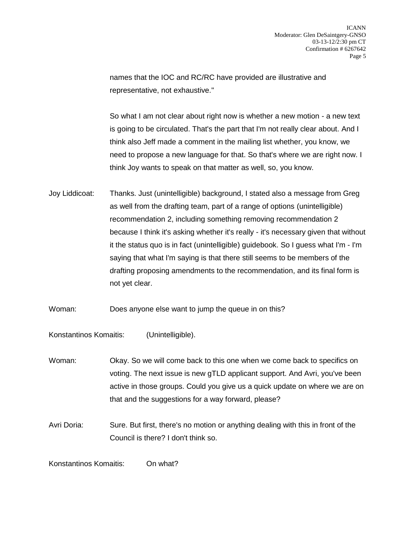names that the IOC and RC/RC have provided are illustrative and representative, not exhaustive."

So what I am not clear about right now is whether a new motion - a new text is going to be circulated. That's the part that I'm not really clear about. And I think also Jeff made a comment in the mailing list whether, you know, we need to propose a new language for that. So that's where we are right now. I think Joy wants to speak on that matter as well, so, you know.

- Joy Liddicoat: Thanks. Just (unintelligible) background, I stated also a message from Greg as well from the drafting team, part of a range of options (unintelligible) recommendation 2, including something removing recommendation 2 because I think it's asking whether it's really - it's necessary given that without it the status quo is in fact (unintelligible) guidebook. So I guess what I'm - I'm saying that what I'm saying is that there still seems to be members of the drafting proposing amendments to the recommendation, and its final form is not yet clear.
- Woman: Does anyone else want to jump the queue in on this?

Konstantinos Komaitis: (Unintelligible).

- Woman: Okay. So we will come back to this one when we come back to specifics on voting. The next issue is new gTLD applicant support. And Avri, you've been active in those groups. Could you give us a quick update on where we are on that and the suggestions for a way forward, please?
- Avri Doria: Sure. But first, there's no motion or anything dealing with this in front of the Council is there? I don't think so.

Konstantinos Komaitis: On what?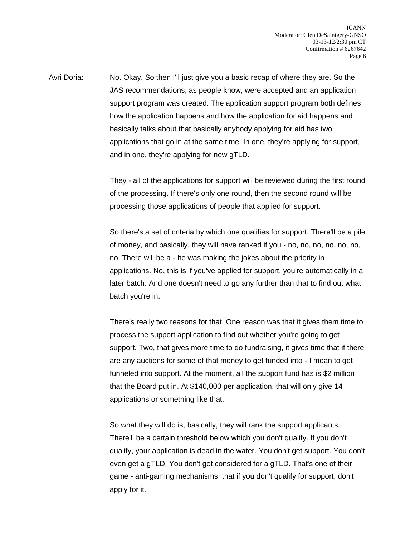Avri Doria: No. Okay. So then I'll just give you a basic recap of where they are. So the JAS recommendations, as people know, were accepted and an application support program was created. The application support program both defines how the application happens and how the application for aid happens and basically talks about that basically anybody applying for aid has two applications that go in at the same time. In one, they're applying for support, and in one, they're applying for new gTLD.

> They - all of the applications for support will be reviewed during the first round of the processing. If there's only one round, then the second round will be processing those applications of people that applied for support.

> So there's a set of criteria by which one qualifies for support. There'll be a pile of money, and basically, they will have ranked if you - no, no, no, no, no, no, no. There will be a - he was making the jokes about the priority in applications. No, this is if you've applied for support, you're automatically in a later batch. And one doesn't need to go any further than that to find out what batch you're in.

> There's really two reasons for that. One reason was that it gives them time to process the support application to find out whether you're going to get support. Two, that gives more time to do fundraising, it gives time that if there are any auctions for some of that money to get funded into - I mean to get funneled into support. At the moment, all the support fund has is \$2 million that the Board put in. At \$140,000 per application, that will only give 14 applications or something like that.

> So what they will do is, basically, they will rank the support applicants. There'll be a certain threshold below which you don't qualify. If you don't qualify, your application is dead in the water. You don't get support. You don't even get a gTLD. You don't get considered for a gTLD. That's one of their game - anti-gaming mechanisms, that if you don't qualify for support, don't apply for it.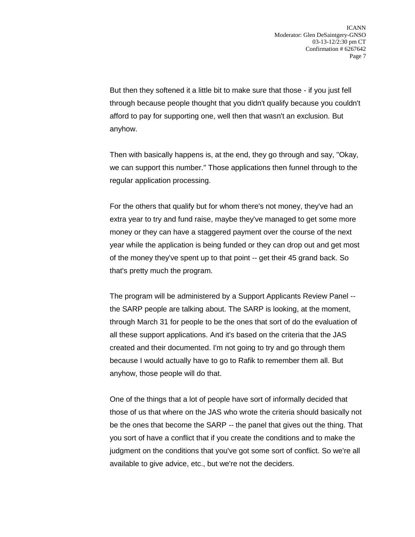But then they softened it a little bit to make sure that those - if you just fell through because people thought that you didn't qualify because you couldn't afford to pay for supporting one, well then that wasn't an exclusion. But anyhow.

Then with basically happens is, at the end, they go through and say, "Okay, we can support this number." Those applications then funnel through to the regular application processing.

For the others that qualify but for whom there's not money, they've had an extra year to try and fund raise, maybe they've managed to get some more money or they can have a staggered payment over the course of the next year while the application is being funded or they can drop out and get most of the money they've spent up to that point -- get their 45 grand back. So that's pretty much the program.

The program will be administered by a Support Applicants Review Panel - the SARP people are talking about. The SARP is looking, at the moment, through March 31 for people to be the ones that sort of do the evaluation of all these support applications. And it's based on the criteria that the JAS created and their documented. I'm not going to try and go through them because I would actually have to go to Rafik to remember them all. But anyhow, those people will do that.

One of the things that a lot of people have sort of informally decided that those of us that where on the JAS who wrote the criteria should basically not be the ones that become the SARP -- the panel that gives out the thing. That you sort of have a conflict that if you create the conditions and to make the judgment on the conditions that you've got some sort of conflict. So we're all available to give advice, etc., but we're not the deciders.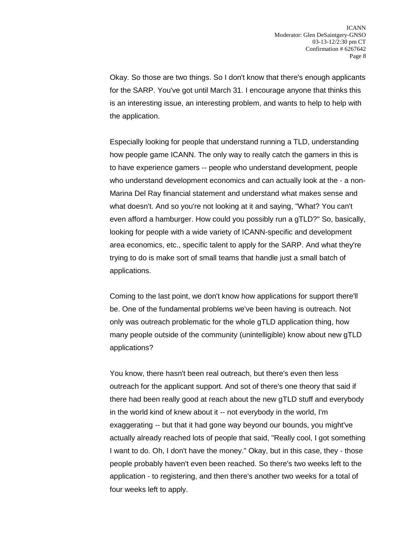Okay. So those are two things. So I don't know that there's enough applicants for the SARP. You've got until March 31. I encourage anyone that thinks this is an interesting issue, an interesting problem, and wants to help to help with the application.

Especially looking for people that understand running a TLD, understanding how people game ICANN. The only way to really catch the gamers in this is to have experience gamers -- people who understand development, people who understand development economics and can actually look at the - a non-Marina Del Ray financial statement and understand what makes sense and what doesn't. And so you're not looking at it and saying, "What? You can't even afford a hamburger. How could you possibly run a gTLD?" So, basically, looking for people with a wide variety of ICANN-specific and development area economics, etc., specific talent to apply for the SARP. And what they're trying to do is make sort of small teams that handle just a small batch of applications.

Coming to the last point, we don't know how applications for support there'll be. One of the fundamental problems we've been having is outreach. Not only was outreach problematic for the whole gTLD application thing, how many people outside of the community (unintelligible) know about new gTLD applications?

You know, there hasn't been real outreach, but there's even then less outreach for the applicant support. And sot of there's one theory that said if there had been really good at reach about the new gTLD stuff and everybody in the world kind of knew about it -- not everybody in the world, I'm exaggerating -- but that it had gone way beyond our bounds, you might've actually already reached lots of people that said, "Really cool, I got something I want to do. Oh, I don't have the money." Okay, but in this case, they - those people probably haven't even been reached. So there's two weeks left to the application - to registering, and then there's another two weeks for a total of four weeks left to apply.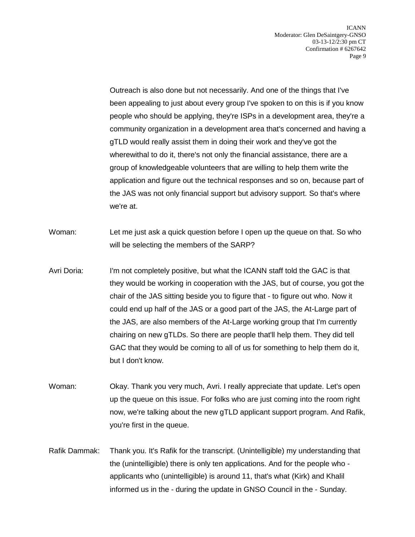Outreach is also done but not necessarily. And one of the things that I've been appealing to just about every group I've spoken to on this is if you know people who should be applying, they're ISPs in a development area, they're a community organization in a development area that's concerned and having a gTLD would really assist them in doing their work and they've got the wherewithal to do it, there's not only the financial assistance, there are a group of knowledgeable volunteers that are willing to help them write the application and figure out the technical responses and so on, because part of the JAS was not only financial support but advisory support. So that's where we're at.

- Woman: Let me just ask a quick question before I open up the queue on that. So who will be selecting the members of the SARP?
- Avri Doria: I'm not completely positive, but what the ICANN staff told the GAC is that they would be working in cooperation with the JAS, but of course, you got the chair of the JAS sitting beside you to figure that - to figure out who. Now it could end up half of the JAS or a good part of the JAS, the At-Large part of the JAS, are also members of the At-Large working group that I'm currently chairing on new gTLDs. So there are people that'll help them. They did tell GAC that they would be coming to all of us for something to help them do it, but I don't know.
- Woman: Okay. Thank you very much, Avri. I really appreciate that update. Let's open up the queue on this issue. For folks who are just coming into the room right now, we're talking about the new gTLD applicant support program. And Rafik, you're first in the queue.
- Rafik Dammak: Thank you. It's Rafik for the transcript. (Unintelligible) my understanding that the (unintelligible) there is only ten applications. And for the people who applicants who (unintelligible) is around 11, that's what (Kirk) and Khalil informed us in the - during the update in GNSO Council in the - Sunday.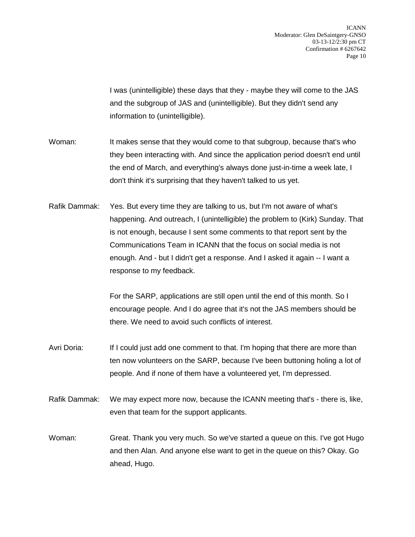ICANN Moderator: Glen DeSaintgery-GNSO 03-13-12/2:30 pm CT Confirmation # 6267642 Page 10

I was (unintelligible) these days that they - maybe they will come to the JAS and the subgroup of JAS and (unintelligible). But they didn't send any information to (unintelligible).

Woman: It makes sense that they would come to that subgroup, because that's who they been interacting with. And since the application period doesn't end until the end of March, and everything's always done just-in-time a week late, I don't think it's surprising that they haven't talked to us yet.

Rafik Dammak: Yes. But every time they are talking to us, but I'm not aware of what's happening. And outreach, I (unintelligible) the problem to (Kirk) Sunday. That is not enough, because I sent some comments to that report sent by the Communications Team in ICANN that the focus on social media is not enough. And - but I didn't get a response. And I asked it again -- I want a response to my feedback.

> For the SARP, applications are still open until the end of this month. So I encourage people. And I do agree that it's not the JAS members should be there. We need to avoid such conflicts of interest.

- Avri Doria: If I could just add one comment to that. I'm hoping that there are more than ten now volunteers on the SARP, because I've been buttoning holing a lot of people. And if none of them have a volunteered yet, I'm depressed.
- Rafik Dammak: We may expect more now, because the ICANN meeting that's there is, like, even that team for the support applicants.
- Woman: Great. Thank you very much. So we've started a queue on this. I've got Hugo and then Alan. And anyone else want to get in the queue on this? Okay. Go ahead, Hugo.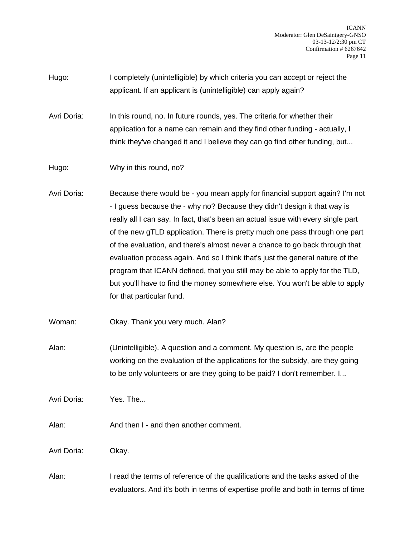ICANN Moderator: Glen DeSaintgery-GNSO 03-13-12/2:30 pm CT Confirmation # 6267642 Page 11

Hugo: I completely (unintelligible) by which criteria you can accept or reject the applicant. If an applicant is (unintelligible) can apply again?

Avri Doria: In this round, no. In future rounds, yes. The criteria for whether their application for a name can remain and they find other funding - actually, I think they've changed it and I believe they can go find other funding, but...

Hugo: Why in this round, no?

Avri Doria: Because there would be - you mean apply for financial support again? I'm not - I guess because the - why no? Because they didn't design it that way is really all I can say. In fact, that's been an actual issue with every single part of the new gTLD application. There is pretty much one pass through one part of the evaluation, and there's almost never a chance to go back through that evaluation process again. And so I think that's just the general nature of the program that ICANN defined, that you still may be able to apply for the TLD, but you'll have to find the money somewhere else. You won't be able to apply for that particular fund.

Woman: Okay. Thank you very much. Alan?

Alan: (Unintelligible). A question and a comment. My question is, are the people working on the evaluation of the applications for the subsidy, are they going to be only volunteers or are they going to be paid? I don't remember. I...

Avri Doria: Yes. The...

Alan: And then I - and then another comment.

Avri Doria: Okay.

Alan: I read the terms of reference of the qualifications and the tasks asked of the evaluators. And it's both in terms of expertise profile and both in terms of time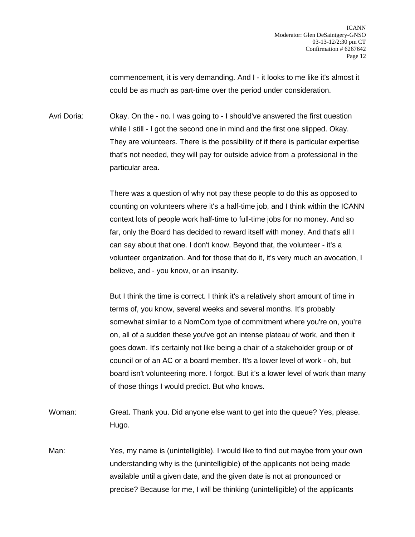commencement, it is very demanding. And I - it looks to me like it's almost it could be as much as part-time over the period under consideration.

Avri Doria: Okay. On the - no. I was going to - I should've answered the first question while I still - I got the second one in mind and the first one slipped. Okay. They are volunteers. There is the possibility of if there is particular expertise that's not needed, they will pay for outside advice from a professional in the particular area.

> There was a question of why not pay these people to do this as opposed to counting on volunteers where it's a half-time job, and I think within the ICANN context lots of people work half-time to full-time jobs for no money. And so far, only the Board has decided to reward itself with money. And that's all I can say about that one. I don't know. Beyond that, the volunteer - it's a volunteer organization. And for those that do it, it's very much an avocation, I believe, and - you know, or an insanity.

> But I think the time is correct. I think it's a relatively short amount of time in terms of, you know, several weeks and several months. It's probably somewhat similar to a NomCom type of commitment where you're on, you're on, all of a sudden these you've got an intense plateau of work, and then it goes down. It's certainly not like being a chair of a stakeholder group or of council or of an AC or a board member. It's a lower level of work - oh, but board isn't volunteering more. I forgot. But it's a lower level of work than many of those things I would predict. But who knows.

Woman: Great. Thank you. Did anyone else want to get into the queue? Yes, please. Hugo.

Man: Yes, my name is (unintelligible). I would like to find out maybe from your own understanding why is the (unintelligible) of the applicants not being made available until a given date, and the given date is not at pronounced or precise? Because for me, I will be thinking (unintelligible) of the applicants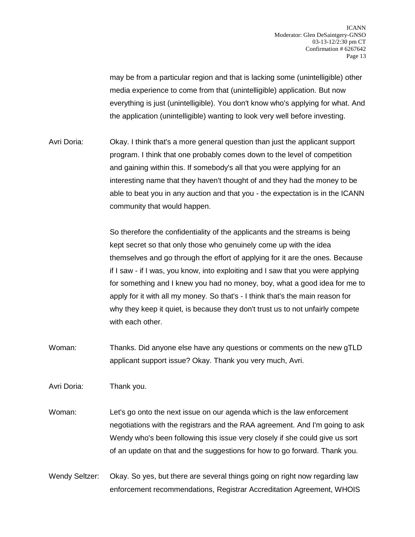may be from a particular region and that is lacking some (unintelligible) other media experience to come from that (unintelligible) application. But now everything is just (unintelligible). You don't know who's applying for what. And the application (unintelligible) wanting to look very well before investing.

Avri Doria: Okay. I think that's a more general question than just the applicant support program. I think that one probably comes down to the level of competition and gaining within this. If somebody's all that you were applying for an interesting name that they haven't thought of and they had the money to be able to beat you in any auction and that you - the expectation is in the ICANN community that would happen.

> So therefore the confidentiality of the applicants and the streams is being kept secret so that only those who genuinely come up with the idea themselves and go through the effort of applying for it are the ones. Because if I saw - if I was, you know, into exploiting and I saw that you were applying for something and I knew you had no money, boy, what a good idea for me to apply for it with all my money. So that's - I think that's the main reason for why they keep it quiet, is because they don't trust us to not unfairly compete with each other.

Woman: Thanks. Did anyone else have any questions or comments on the new gTLD applicant support issue? Okay. Thank you very much, Avri.

Avri Doria: Thank you.

- Woman: Let's go onto the next issue on our agenda which is the law enforcement negotiations with the registrars and the RAA agreement. And I'm going to ask Wendy who's been following this issue very closely if she could give us sort of an update on that and the suggestions for how to go forward. Thank you.
- Wendy Seltzer: Okay. So yes, but there are several things going on right now regarding law enforcement recommendations, Registrar Accreditation Agreement, WHOIS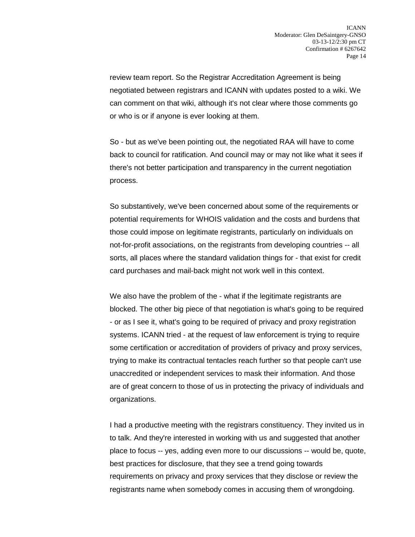review team report. So the Registrar Accreditation Agreement is being negotiated between registrars and ICANN with updates posted to a wiki. We can comment on that wiki, although it's not clear where those comments go or who is or if anyone is ever looking at them.

So - but as we've been pointing out, the negotiated RAA will have to come back to council for ratification. And council may or may not like what it sees if there's not better participation and transparency in the current negotiation process.

So substantively, we've been concerned about some of the requirements or potential requirements for WHOIS validation and the costs and burdens that those could impose on legitimate registrants, particularly on individuals on not-for-profit associations, on the registrants from developing countries -- all sorts, all places where the standard validation things for - that exist for credit card purchases and mail-back might not work well in this context.

We also have the problem of the - what if the legitimate registrants are blocked. The other big piece of that negotiation is what's going to be required - or as I see it, what's going to be required of privacy and proxy registration systems. ICANN tried - at the request of law enforcement is trying to require some certification or accreditation of providers of privacy and proxy services, trying to make its contractual tentacles reach further so that people can't use unaccredited or independent services to mask their information. And those are of great concern to those of us in protecting the privacy of individuals and organizations.

I had a productive meeting with the registrars constituency. They invited us in to talk. And they're interested in working with us and suggested that another place to focus -- yes, adding even more to our discussions -- would be, quote, best practices for disclosure, that they see a trend going towards requirements on privacy and proxy services that they disclose or review the registrants name when somebody comes in accusing them of wrongdoing.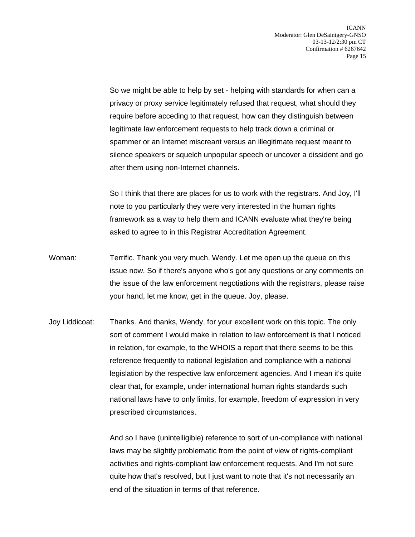So we might be able to help by set - helping with standards for when can a privacy or proxy service legitimately refused that request, what should they require before acceding to that request, how can they distinguish between legitimate law enforcement requests to help track down a criminal or spammer or an Internet miscreant versus an illegitimate request meant to silence speakers or squelch unpopular speech or uncover a dissident and go after them using non-Internet channels.

So I think that there are places for us to work with the registrars. And Joy, I'll note to you particularly they were very interested in the human rights framework as a way to help them and ICANN evaluate what they're being asked to agree to in this Registrar Accreditation Agreement.

- Woman: Terrific. Thank you very much, Wendy. Let me open up the queue on this issue now. So if there's anyone who's got any questions or any comments on the issue of the law enforcement negotiations with the registrars, please raise your hand, let me know, get in the queue. Joy, please.
- Joy Liddicoat: Thanks. And thanks, Wendy, for your excellent work on this topic. The only sort of comment I would make in relation to law enforcement is that I noticed in relation, for example, to the WHOIS a report that there seems to be this reference frequently to national legislation and compliance with a national legislation by the respective law enforcement agencies. And I mean it's quite clear that, for example, under international human rights standards such national laws have to only limits, for example, freedom of expression in very prescribed circumstances.

And so I have (unintelligible) reference to sort of un-compliance with national laws may be slightly problematic from the point of view of rights-compliant activities and rights-compliant law enforcement requests. And I'm not sure quite how that's resolved, but I just want to note that it's not necessarily an end of the situation in terms of that reference.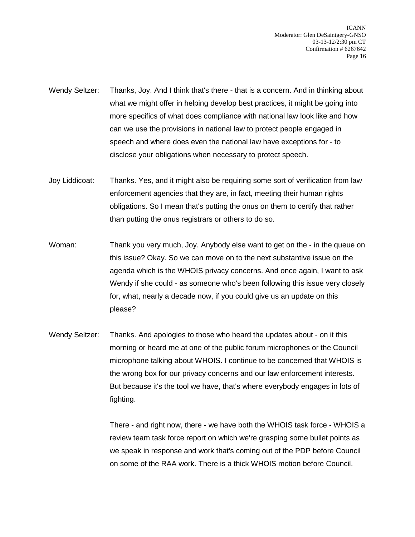ICANN Moderator: Glen DeSaintgery-GNSO 03-13-12/2:30 pm CT Confirmation # 6267642 Page 16

- Wendy Seltzer: Thanks, Joy. And I think that's there that is a concern. And in thinking about what we might offer in helping develop best practices, it might be going into more specifics of what does compliance with national law look like and how can we use the provisions in national law to protect people engaged in speech and where does even the national law have exceptions for - to disclose your obligations when necessary to protect speech.
- Joy Liddicoat: Thanks. Yes, and it might also be requiring some sort of verification from law enforcement agencies that they are, in fact, meeting their human rights obligations. So I mean that's putting the onus on them to certify that rather than putting the onus registrars or others to do so.
- Woman: Thank you very much, Joy. Anybody else want to get on the in the queue on this issue? Okay. So we can move on to the next substantive issue on the agenda which is the WHOIS privacy concerns. And once again, I want to ask Wendy if she could - as someone who's been following this issue very closely for, what, nearly a decade now, if you could give us an update on this please?
- Wendy Seltzer: Thanks. And apologies to those who heard the updates about on it this morning or heard me at one of the public forum microphones or the Council microphone talking about WHOIS. I continue to be concerned that WHOIS is the wrong box for our privacy concerns and our law enforcement interests. But because it's the tool we have, that's where everybody engages in lots of fighting.

There - and right now, there - we have both the WHOIS task force - WHOIS a review team task force report on which we're grasping some bullet points as we speak in response and work that's coming out of the PDP before Council on some of the RAA work. There is a thick WHOIS motion before Council.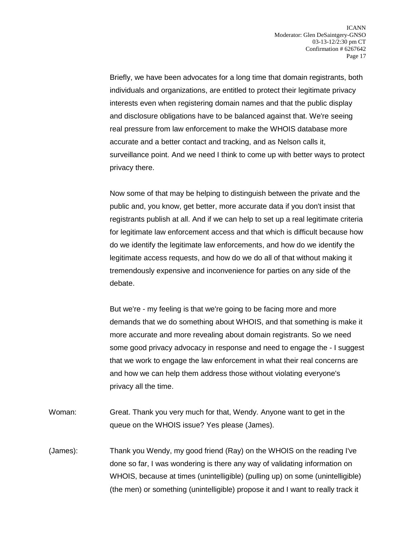Briefly, we have been advocates for a long time that domain registrants, both individuals and organizations, are entitled to protect their legitimate privacy interests even when registering domain names and that the public display and disclosure obligations have to be balanced against that. We're seeing real pressure from law enforcement to make the WHOIS database more accurate and a better contact and tracking, and as Nelson calls it, surveillance point. And we need I think to come up with better ways to protect privacy there.

Now some of that may be helping to distinguish between the private and the public and, you know, get better, more accurate data if you don't insist that registrants publish at all. And if we can help to set up a real legitimate criteria for legitimate law enforcement access and that which is difficult because how do we identify the legitimate law enforcements, and how do we identify the legitimate access requests, and how do we do all of that without making it tremendously expensive and inconvenience for parties on any side of the debate.

But we're - my feeling is that we're going to be facing more and more demands that we do something about WHOIS, and that something is make it more accurate and more revealing about domain registrants. So we need some good privacy advocacy in response and need to engage the - I suggest that we work to engage the law enforcement in what their real concerns are and how we can help them address those without violating everyone's privacy all the time.

- Woman: Great. Thank you very much for that, Wendy. Anyone want to get in the queue on the WHOIS issue? Yes please (James).
- (James): Thank you Wendy, my good friend (Ray) on the WHOIS on the reading I've done so far, I was wondering is there any way of validating information on WHOIS, because at times (unintelligible) (pulling up) on some (unintelligible) (the men) or something (unintelligible) propose it and I want to really track it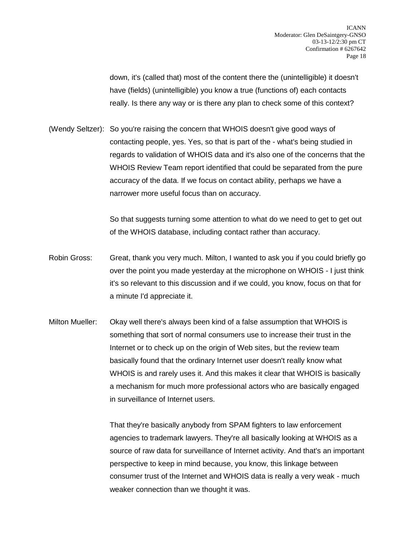down, it's (called that) most of the content there the (unintelligible) it doesn't have (fields) (unintelligible) you know a true (functions of) each contacts really. Is there any way or is there any plan to check some of this context?

(Wendy Seltzer): So you're raising the concern that WHOIS doesn't give good ways of contacting people, yes. Yes, so that is part of the - what's being studied in regards to validation of WHOIS data and it's also one of the concerns that the WHOIS Review Team report identified that could be separated from the pure accuracy of the data. If we focus on contact ability, perhaps we have a narrower more useful focus than on accuracy.

> So that suggests turning some attention to what do we need to get to get out of the WHOIS database, including contact rather than accuracy.

- Robin Gross: Great, thank you very much. Milton, I wanted to ask you if you could briefly go over the point you made yesterday at the microphone on WHOIS - I just think it's so relevant to this discussion and if we could, you know, focus on that for a minute I'd appreciate it.
- Milton Mueller: Okay well there's always been kind of a false assumption that WHOIS is something that sort of normal consumers use to increase their trust in the Internet or to check up on the origin of Web sites, but the review team basically found that the ordinary Internet user doesn't really know what WHOIS is and rarely uses it. And this makes it clear that WHOIS is basically a mechanism for much more professional actors who are basically engaged in surveillance of Internet users.

That they're basically anybody from SPAM fighters to law enforcement agencies to trademark lawyers. They're all basically looking at WHOIS as a source of raw data for surveillance of Internet activity. And that's an important perspective to keep in mind because, you know, this linkage between consumer trust of the Internet and WHOIS data is really a very weak - much weaker connection than we thought it was.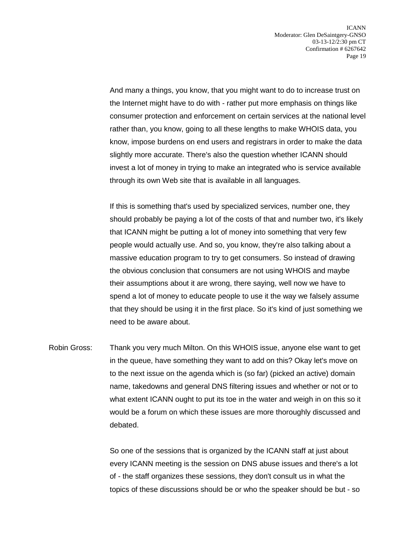And many a things, you know, that you might want to do to increase trust on the Internet might have to do with - rather put more emphasis on things like consumer protection and enforcement on certain services at the national level rather than, you know, going to all these lengths to make WHOIS data, you know, impose burdens on end users and registrars in order to make the data slightly more accurate. There's also the question whether ICANN should invest a lot of money in trying to make an integrated who is service available through its own Web site that is available in all languages.

If this is something that's used by specialized services, number one, they should probably be paying a lot of the costs of that and number two, it's likely that ICANN might be putting a lot of money into something that very few people would actually use. And so, you know, they're also talking about a massive education program to try to get consumers. So instead of drawing the obvious conclusion that consumers are not using WHOIS and maybe their assumptions about it are wrong, there saying, well now we have to spend a lot of money to educate people to use it the way we falsely assume that they should be using it in the first place. So it's kind of just something we need to be aware about.

Robin Gross: Thank you very much Milton. On this WHOIS issue, anyone else want to get in the queue, have something they want to add on this? Okay let's move on to the next issue on the agenda which is (so far) (picked an active) domain name, takedowns and general DNS filtering issues and whether or not or to what extent ICANN ought to put its toe in the water and weigh in on this so it would be a forum on which these issues are more thoroughly discussed and debated.

> So one of the sessions that is organized by the ICANN staff at just about every ICANN meeting is the session on DNS abuse issues and there's a lot of - the staff organizes these sessions, they don't consult us in what the topics of these discussions should be or who the speaker should be but - so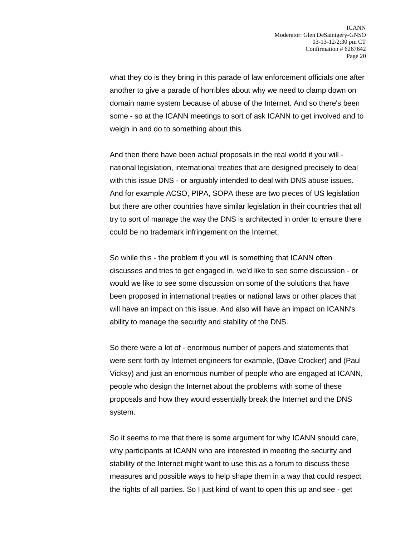what they do is they bring in this parade of law enforcement officials one after another to give a parade of horribles about why we need to clamp down on domain name system because of abuse of the Internet. And so there's been some - so at the ICANN meetings to sort of ask ICANN to get involved and to weigh in and do to something about this

And then there have been actual proposals in the real world if you will national legislation, international treaties that are designed precisely to deal with this issue DNS - or arguably intended to deal with DNS abuse issues. And for example ACSO, PIPA, SOPA these are two pieces of US legislation but there are other countries have similar legislation in their countries that all try to sort of manage the way the DNS is architected in order to ensure there could be no trademark infringement on the Internet.

So while this - the problem if you will is something that ICANN often discusses and tries to get engaged in, we'd like to see some discussion - or would we like to see some discussion on some of the solutions that have been proposed in international treaties or national laws or other places that will have an impact on this issue. And also will have an impact on ICANN's ability to manage the security and stability of the DNS.

So there were a lot of - enormous number of papers and statements that were sent forth by Internet engineers for example, (Dave Crocker) and (Paul Vicksy) and just an enormous number of people who are engaged at ICANN, people who design the Internet about the problems with some of these proposals and how they would essentially break the Internet and the DNS system.

So it seems to me that there is some argument for why ICANN should care, why participants at ICANN who are interested in meeting the security and stability of the Internet might want to use this as a forum to discuss these measures and possible ways to help shape them in a way that could respect the rights of all parties. So I just kind of want to open this up and see - get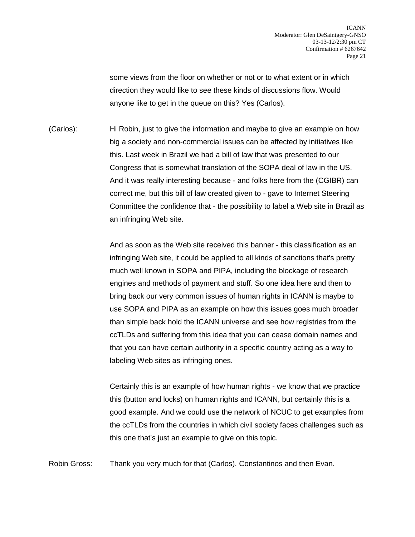some views from the floor on whether or not or to what extent or in which direction they would like to see these kinds of discussions flow. Would anyone like to get in the queue on this? Yes (Carlos).

(Carlos): Hi Robin, just to give the information and maybe to give an example on how big a society and non-commercial issues can be affected by initiatives like this. Last week in Brazil we had a bill of law that was presented to our Congress that is somewhat translation of the SOPA deal of law in the US. And it was really interesting because - and folks here from the (CGIBR) can correct me, but this bill of law created given to - gave to Internet Steering Committee the confidence that - the possibility to label a Web site in Brazil as an infringing Web site.

> And as soon as the Web site received this banner - this classification as an infringing Web site, it could be applied to all kinds of sanctions that's pretty much well known in SOPA and PIPA, including the blockage of research engines and methods of payment and stuff. So one idea here and then to bring back our very common issues of human rights in ICANN is maybe to use SOPA and PIPA as an example on how this issues goes much broader than simple back hold the ICANN universe and see how registries from the ccTLDs and suffering from this idea that you can cease domain names and that you can have certain authority in a specific country acting as a way to labeling Web sites as infringing ones.

Certainly this is an example of how human rights - we know that we practice this (button and locks) on human rights and ICANN, but certainly this is a good example. And we could use the network of NCUC to get examples from the ccTLDs from the countries in which civil society faces challenges such as this one that's just an example to give on this topic.

Robin Gross: Thank you very much for that (Carlos). Constantinos and then Evan.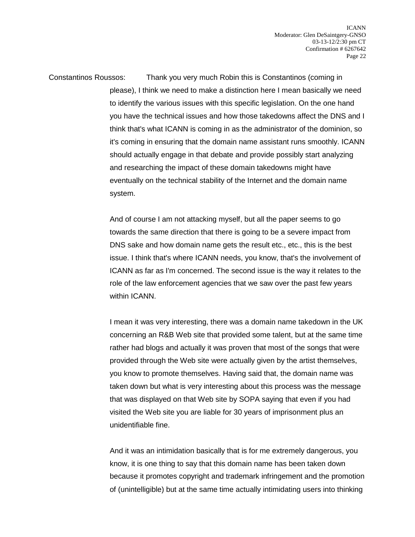Constantinos Roussos: Thank you very much Robin this is Constantinos (coming in please), I think we need to make a distinction here I mean basically we need to identify the various issues with this specific legislation. On the one hand you have the technical issues and how those takedowns affect the DNS and I think that's what ICANN is coming in as the administrator of the dominion, so it's coming in ensuring that the domain name assistant runs smoothly. ICANN should actually engage in that debate and provide possibly start analyzing and researching the impact of these domain takedowns might have eventually on the technical stability of the Internet and the domain name system.

> And of course I am not attacking myself, but all the paper seems to go towards the same direction that there is going to be a severe impact from DNS sake and how domain name gets the result etc., etc., this is the best issue. I think that's where ICANN needs, you know, that's the involvement of ICANN as far as I'm concerned. The second issue is the way it relates to the role of the law enforcement agencies that we saw over the past few years within ICANN.

> I mean it was very interesting, there was a domain name takedown in the UK concerning an R&B Web site that provided some talent, but at the same time rather had blogs and actually it was proven that most of the songs that were provided through the Web site were actually given by the artist themselves, you know to promote themselves. Having said that, the domain name was taken down but what is very interesting about this process was the message that was displayed on that Web site by SOPA saying that even if you had visited the Web site you are liable for 30 years of imprisonment plus an unidentifiable fine.

> And it was an intimidation basically that is for me extremely dangerous, you know, it is one thing to say that this domain name has been taken down because it promotes copyright and trademark infringement and the promotion of (unintelligible) but at the same time actually intimidating users into thinking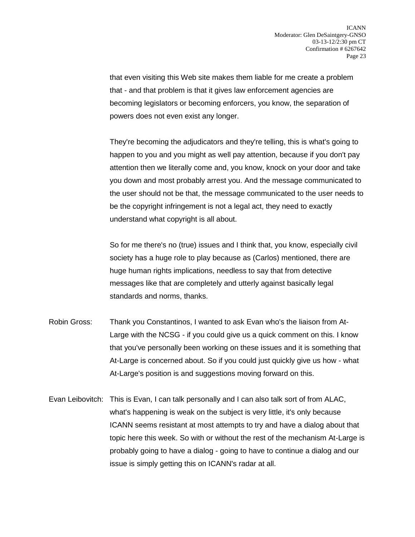that even visiting this Web site makes them liable for me create a problem that - and that problem is that it gives law enforcement agencies are becoming legislators or becoming enforcers, you know, the separation of powers does not even exist any longer.

They're becoming the adjudicators and they're telling, this is what's going to happen to you and you might as well pay attention, because if you don't pay attention then we literally come and, you know, knock on your door and take you down and most probably arrest you. And the message communicated to the user should not be that, the message communicated to the user needs to be the copyright infringement is not a legal act, they need to exactly understand what copyright is all about.

So for me there's no (true) issues and I think that, you know, especially civil society has a huge role to play because as (Carlos) mentioned, there are huge human rights implications, needless to say that from detective messages like that are completely and utterly against basically legal standards and norms, thanks.

- Robin Gross: Thank you Constantinos, I wanted to ask Evan who's the liaison from At-Large with the NCSG - if you could give us a quick comment on this. I know that you've personally been working on these issues and it is something that At-Large is concerned about. So if you could just quickly give us how - what At-Large's position is and suggestions moving forward on this.
- Evan Leibovitch: This is Evan, I can talk personally and I can also talk sort of from ALAC, what's happening is weak on the subject is very little, it's only because ICANN seems resistant at most attempts to try and have a dialog about that topic here this week. So with or without the rest of the mechanism At-Large is probably going to have a dialog - going to have to continue a dialog and our issue is simply getting this on ICANN's radar at all.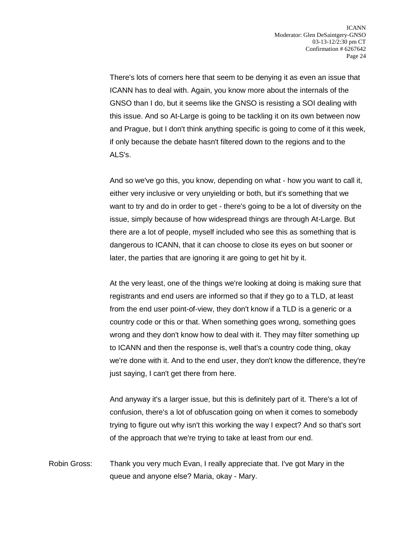There's lots of corners here that seem to be denying it as even an issue that ICANN has to deal with. Again, you know more about the internals of the GNSO than I do, but it seems like the GNSO is resisting a SOI dealing with this issue. And so At-Large is going to be tackling it on its own between now and Prague, but I don't think anything specific is going to come of it this week, if only because the debate hasn't filtered down to the regions and to the ALS's.

And so we've go this, you know, depending on what - how you want to call it, either very inclusive or very unyielding or both, but it's something that we want to try and do in order to get - there's going to be a lot of diversity on the issue, simply because of how widespread things are through At-Large. But there are a lot of people, myself included who see this as something that is dangerous to ICANN, that it can choose to close its eyes on but sooner or later, the parties that are ignoring it are going to get hit by it.

At the very least, one of the things we're looking at doing is making sure that registrants and end users are informed so that if they go to a TLD, at least from the end user point-of-view, they don't know if a TLD is a generic or a country code or this or that. When something goes wrong, something goes wrong and they don't know how to deal with it. They may filter something up to ICANN and then the response is, well that's a country code thing, okay we're done with it. And to the end user, they don't know the difference, they're just saying, I can't get there from here.

And anyway it's a larger issue, but this is definitely part of it. There's a lot of confusion, there's a lot of obfuscation going on when it comes to somebody trying to figure out why isn't this working the way I expect? And so that's sort of the approach that we're trying to take at least from our end.

Robin Gross: Thank you very much Evan, I really appreciate that. I've got Mary in the queue and anyone else? Maria, okay - Mary.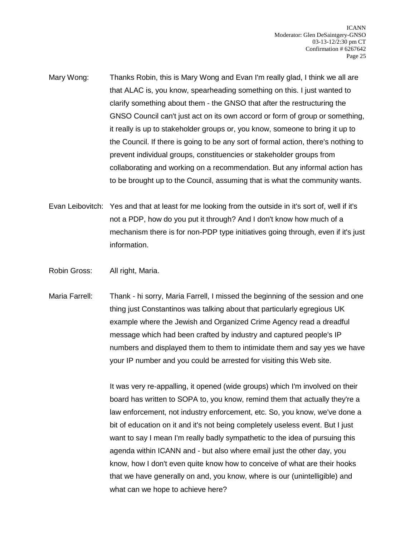- Mary Wong: Thanks Robin, this is Mary Wong and Evan I'm really glad, I think we all are that ALAC is, you know, spearheading something on this. I just wanted to clarify something about them - the GNSO that after the restructuring the GNSO Council can't just act on its own accord or form of group or something, it really is up to stakeholder groups or, you know, someone to bring it up to the Council. If there is going to be any sort of formal action, there's nothing to prevent individual groups, constituencies or stakeholder groups from collaborating and working on a recommendation. But any informal action has to be brought up to the Council, assuming that is what the community wants.
- Evan Leibovitch: Yes and that at least for me looking from the outside in it's sort of, well if it's not a PDP, how do you put it through? And I don't know how much of a mechanism there is for non-PDP type initiatives going through, even if it's just information.
- Robin Gross: All right, Maria.
- Maria Farrell: Thank hi sorry, Maria Farrell, I missed the beginning of the session and one thing just Constantinos was talking about that particularly egregious UK example where the Jewish and Organized Crime Agency read a dreadful message which had been crafted by industry and captured people's IP numbers and displayed them to them to intimidate them and say yes we have your IP number and you could be arrested for visiting this Web site.

It was very re-appalling, it opened (wide groups) which I'm involved on their board has written to SOPA to, you know, remind them that actually they're a law enforcement, not industry enforcement, etc. So, you know, we've done a bit of education on it and it's not being completely useless event. But I just want to say I mean I'm really badly sympathetic to the idea of pursuing this agenda within ICANN and - but also where email just the other day, you know, how I don't even quite know how to conceive of what are their hooks that we have generally on and, you know, where is our (unintelligible) and what can we hope to achieve here?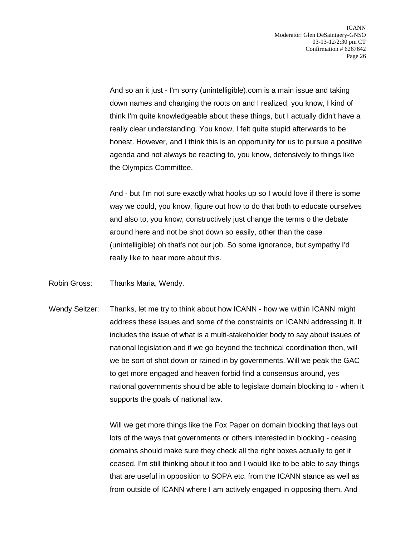And so an it just - I'm sorry (unintelligible).com is a main issue and taking down names and changing the roots on and I realized, you know, I kind of think I'm quite knowledgeable about these things, but I actually didn't have a really clear understanding. You know, I felt quite stupid afterwards to be honest. However, and I think this is an opportunity for us to pursue a positive agenda and not always be reacting to, you know, defensively to things like the Olympics Committee.

And - but I'm not sure exactly what hooks up so I would love if there is some way we could, you know, figure out how to do that both to educate ourselves and also to, you know, constructively just change the terms o the debate around here and not be shot down so easily, other than the case (unintelligible) oh that's not our job. So some ignorance, but sympathy I'd really like to hear more about this.

- Robin Gross: Thanks Maria, Wendy.
- Wendy Seltzer: Thanks, let me try to think about how ICANN how we within ICANN might address these issues and some of the constraints on ICANN addressing it. It includes the issue of what is a multi-stakeholder body to say about issues of national legislation and if we go beyond the technical coordination then, will we be sort of shot down or rained in by governments. Will we peak the GAC to get more engaged and heaven forbid find a consensus around, yes national governments should be able to legislate domain blocking to - when it supports the goals of national law.

Will we get more things like the Fox Paper on domain blocking that lays out lots of the ways that governments or others interested in blocking - ceasing domains should make sure they check all the right boxes actually to get it ceased. I'm still thinking about it too and I would like to be able to say things that are useful in opposition to SOPA etc. from the ICANN stance as well as from outside of ICANN where I am actively engaged in opposing them. And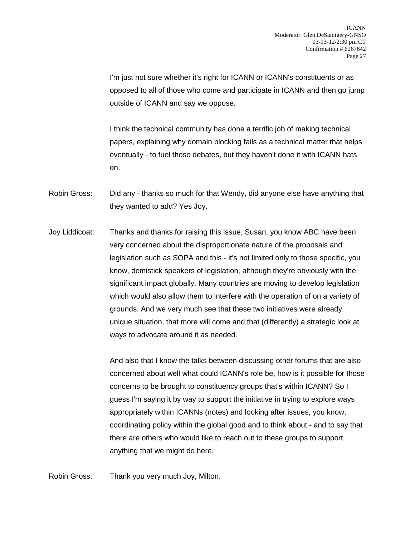I'm just not sure whether it's right for ICANN or ICANN's constituents or as opposed to all of those who come and participate in ICANN and then go jump outside of ICANN and say we oppose.

I think the technical community has done a terrific job of making technical papers, explaining why domain blocking fails as a technical matter that helps eventually - to fuel those debates, but they haven't done it with ICANN hats on.

- Robin Gross: Did any thanks so much for that Wendy, did anyone else have anything that they wanted to add? Yes Joy.
- Joy Liddicoat: Thanks and thanks for raising this issue, Susan, you know ABC have been very concerned about the disproportionate nature of the proposals and legislation such as SOPA and this - it's not limited only to those specific, you know, demistick speakers of legislation, although they're obviously with the significant impact globally. Many countries are moving to develop legislation which would also allow them to interfere with the operation of on a variety of grounds. And we very much see that these two initiatives were already unique situation, that more will come and that (differently) a strategic look at ways to advocate around it as needed.

And also that I know the talks between discussing other forums that are also concerned about well what could ICANN's role be, how is it possible for those concerns to be brought to constituency groups that's within ICANN? So I guess I'm saying it by way to support the initiative in trying to explore ways appropriately within ICANNs (notes) and looking after issues, you know, coordinating policy within the global good and to think about - and to say that there are others who would like to reach out to these groups to support anything that we might do here.

Robin Gross: Thank you very much Joy, Milton.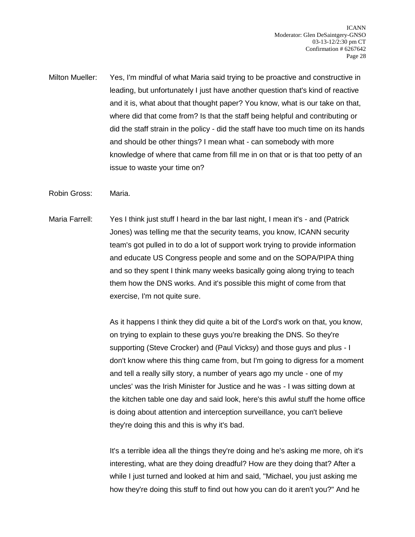Milton Mueller: Yes, I'm mindful of what Maria said trying to be proactive and constructive in leading, but unfortunately I just have another question that's kind of reactive and it is, what about that thought paper? You know, what is our take on that, where did that come from? Is that the staff being helpful and contributing or did the staff strain in the policy - did the staff have too much time on its hands and should be other things? I mean what - can somebody with more knowledge of where that came from fill me in on that or is that too petty of an issue to waste your time on?

Robin Gross: Maria.

Maria Farrell: Yes I think just stuff I heard in the bar last night, I mean it's - and (Patrick Jones) was telling me that the security teams, you know, ICANN security team's got pulled in to do a lot of support work trying to provide information and educate US Congress people and some and on the SOPA/PIPA thing and so they spent I think many weeks basically going along trying to teach them how the DNS works. And it's possible this might of come from that exercise, I'm not quite sure.

> As it happens I think they did quite a bit of the Lord's work on that, you know, on trying to explain to these guys you're breaking the DNS. So they're supporting (Steve Crocker) and (Paul Vicksy) and those guys and plus - I don't know where this thing came from, but I'm going to digress for a moment and tell a really silly story, a number of years ago my uncle - one of my uncles' was the Irish Minister for Justice and he was - I was sitting down at the kitchen table one day and said look, here's this awful stuff the home office is doing about attention and interception surveillance, you can't believe they're doing this and this is why it's bad.

> It's a terrible idea all the things they're doing and he's asking me more, oh it's interesting, what are they doing dreadful? How are they doing that? After a while I just turned and looked at him and said, "Michael, you just asking me how they're doing this stuff to find out how you can do it aren't you?" And he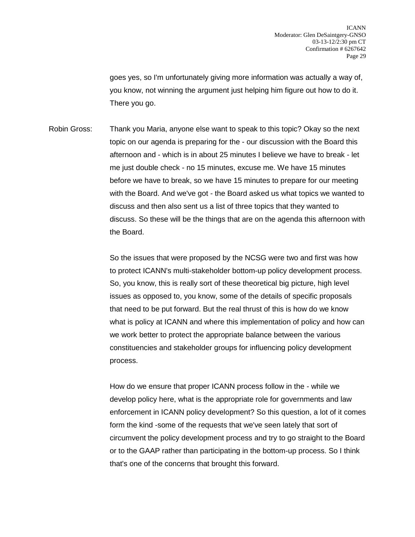goes yes, so I'm unfortunately giving more information was actually a way of, you know, not winning the argument just helping him figure out how to do it. There you go.

Robin Gross: Thank you Maria, anyone else want to speak to this topic? Okay so the next topic on our agenda is preparing for the - our discussion with the Board this afternoon and - which is in about 25 minutes I believe we have to break - let me just double check - no 15 minutes, excuse me. We have 15 minutes before we have to break, so we have 15 minutes to prepare for our meeting with the Board. And we've got - the Board asked us what topics we wanted to discuss and then also sent us a list of three topics that they wanted to discuss. So these will be the things that are on the agenda this afternoon with the Board.

> So the issues that were proposed by the NCSG were two and first was how to protect ICANN's multi-stakeholder bottom-up policy development process. So, you know, this is really sort of these theoretical big picture, high level issues as opposed to, you know, some of the details of specific proposals that need to be put forward. But the real thrust of this is how do we know what is policy at ICANN and where this implementation of policy and how can we work better to protect the appropriate balance between the various constituencies and stakeholder groups for influencing policy development process.

> How do we ensure that proper ICANN process follow in the - while we develop policy here, what is the appropriate role for governments and law enforcement in ICANN policy development? So this question, a lot of it comes form the kind -some of the requests that we've seen lately that sort of circumvent the policy development process and try to go straight to the Board or to the GAAP rather than participating in the bottom-up process. So I think that's one of the concerns that brought this forward.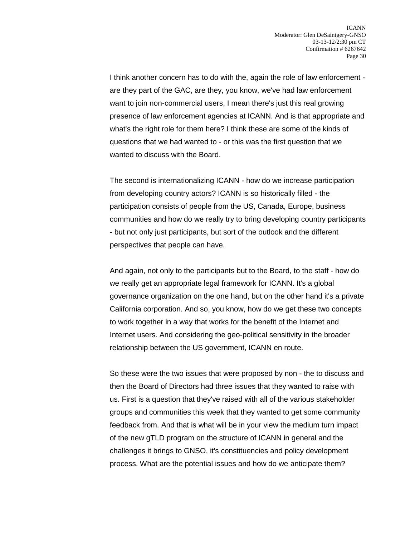I think another concern has to do with the, again the role of law enforcement are they part of the GAC, are they, you know, we've had law enforcement want to join non-commercial users, I mean there's just this real growing presence of law enforcement agencies at ICANN. And is that appropriate and what's the right role for them here? I think these are some of the kinds of questions that we had wanted to - or this was the first question that we wanted to discuss with the Board.

The second is internationalizing ICANN - how do we increase participation from developing country actors? ICANN is so historically filled - the participation consists of people from the US, Canada, Europe, business communities and how do we really try to bring developing country participants - but not only just participants, but sort of the outlook and the different perspectives that people can have.

And again, not only to the participants but to the Board, to the staff - how do we really get an appropriate legal framework for ICANN. It's a global governance organization on the one hand, but on the other hand it's a private California corporation. And so, you know, how do we get these two concepts to work together in a way that works for the benefit of the Internet and Internet users. And considering the geo-political sensitivity in the broader relationship between the US government, ICANN en route.

So these were the two issues that were proposed by non - the to discuss and then the Board of Directors had three issues that they wanted to raise with us. First is a question that they've raised with all of the various stakeholder groups and communities this week that they wanted to get some community feedback from. And that is what will be in your view the medium turn impact of the new gTLD program on the structure of ICANN in general and the challenges it brings to GNSO, it's constituencies and policy development process. What are the potential issues and how do we anticipate them?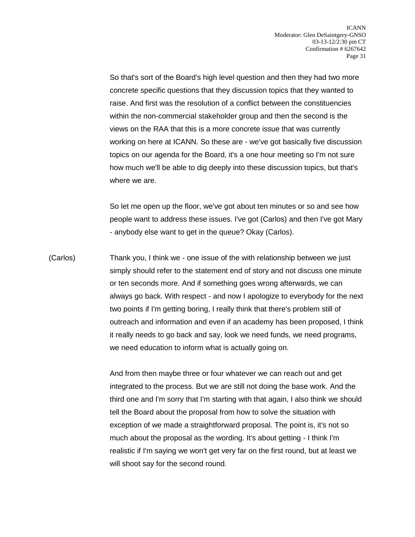So that's sort of the Board's high level question and then they had two more concrete specific questions that they discussion topics that they wanted to raise. And first was the resolution of a conflict between the constituencies within the non-commercial stakeholder group and then the second is the views on the RAA that this is a more concrete issue that was currently working on here at ICANN. So these are - we've got basically five discussion topics on our agenda for the Board, it's a one hour meeting so I'm not sure how much we'll be able to dig deeply into these discussion topics, but that's where we are.

So let me open up the floor, we've got about ten minutes or so and see how people want to address these issues. I've got (Carlos) and then I've got Mary - anybody else want to get in the queue? Okay (Carlos).

(Carlos) Thank you, I think we - one issue of the with relationship between we just simply should refer to the statement end of story and not discuss one minute or ten seconds more. And if something goes wrong afterwards, we can always go back. With respect - and now I apologize to everybody for the next two points if I'm getting boring, I really think that there's problem still of outreach and information and even if an academy has been proposed, I think it really needs to go back and say, look we need funds, we need programs, we need education to inform what is actually going on.

> And from then maybe three or four whatever we can reach out and get integrated to the process. But we are still not doing the base work. And the third one and I'm sorry that I'm starting with that again, I also think we should tell the Board about the proposal from how to solve the situation with exception of we made a straightforward proposal. The point is, it's not so much about the proposal as the wording. It's about getting - I think I'm realistic if I'm saying we won't get very far on the first round, but at least we will shoot say for the second round.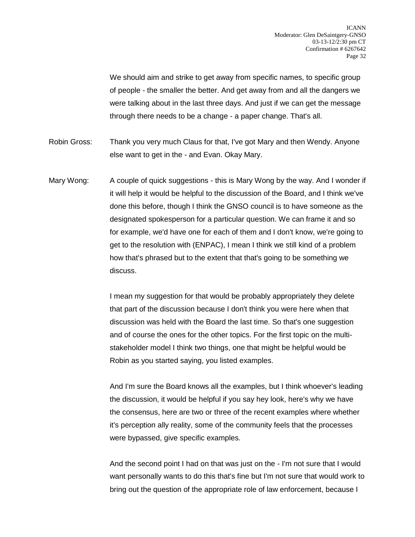We should aim and strike to get away from specific names, to specific group of people - the smaller the better. And get away from and all the dangers we were talking about in the last three days. And just if we can get the message through there needs to be a change - a paper change. That's all.

- Robin Gross: Thank you very much Claus for that, I've got Mary and then Wendy. Anyone else want to get in the - and Evan. Okay Mary.
- Mary Wong: A couple of quick suggestions this is Mary Wong by the way. And I wonder if it will help it would be helpful to the discussion of the Board, and I think we've done this before, though I think the GNSO council is to have someone as the designated spokesperson for a particular question. We can frame it and so for example, we'd have one for each of them and I don't know, we're going to get to the resolution with (ENPAC), I mean I think we still kind of a problem how that's phrased but to the extent that that's going to be something we discuss.

I mean my suggestion for that would be probably appropriately they delete that part of the discussion because I don't think you were here when that discussion was held with the Board the last time. So that's one suggestion and of course the ones for the other topics. For the first topic on the multistakeholder model I think two things, one that might be helpful would be Robin as you started saying, you listed examples.

And I'm sure the Board knows all the examples, but I think whoever's leading the discussion, it would be helpful if you say hey look, here's why we have the consensus, here are two or three of the recent examples where whether it's perception ally reality, some of the community feels that the processes were bypassed, give specific examples.

And the second point I had on that was just on the - I'm not sure that I would want personally wants to do this that's fine but I'm not sure that would work to bring out the question of the appropriate role of law enforcement, because I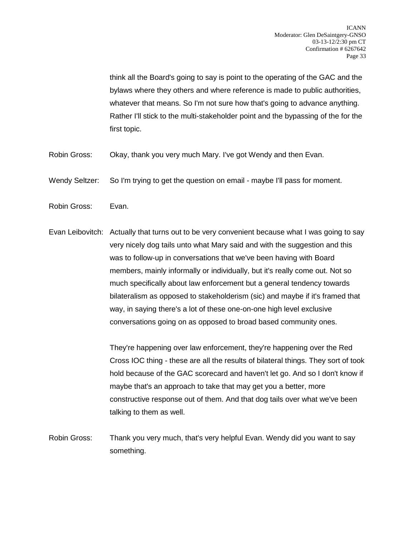think all the Board's going to say is point to the operating of the GAC and the bylaws where they others and where reference is made to public authorities, whatever that means. So I'm not sure how that's going to advance anything. Rather I'll stick to the multi-stakeholder point and the bypassing of the for the first topic.

- Robin Gross: Okay, thank you very much Mary. I've got Wendy and then Evan.
- Wendy Seltzer: So I'm trying to get the question on email maybe I'll pass for moment.
- Robin Gross: Evan.
- Evan Leibovitch: Actually that turns out to be very convenient because what I was going to say very nicely dog tails unto what Mary said and with the suggestion and this was to follow-up in conversations that we've been having with Board members, mainly informally or individually, but it's really come out. Not so much specifically about law enforcement but a general tendency towards bilateralism as opposed to stakeholderism (sic) and maybe if it's framed that way, in saying there's a lot of these one-on-one high level exclusive conversations going on as opposed to broad based community ones.

They're happening over law enforcement, they're happening over the Red Cross IOC thing - these are all the results of bilateral things. They sort of took hold because of the GAC scorecard and haven't let go. And so I don't know if maybe that's an approach to take that may get you a better, more constructive response out of them. And that dog tails over what we've been talking to them as well.

Robin Gross: Thank you very much, that's very helpful Evan. Wendy did you want to say something.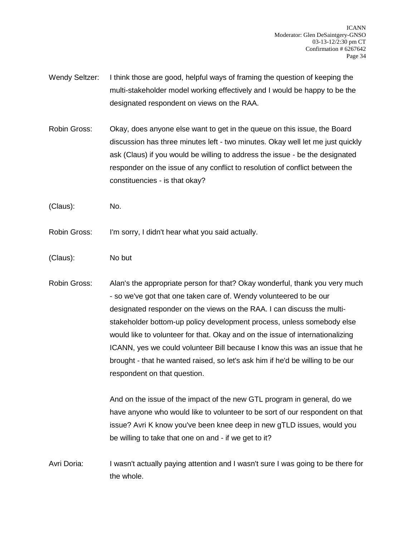- Wendy Seltzer: I think those are good, helpful ways of framing the question of keeping the multi-stakeholder model working effectively and I would be happy to be the designated respondent on views on the RAA.
- Robin Gross: Okay, does anyone else want to get in the queue on this issue, the Board discussion has three minutes left - two minutes. Okay well let me just quickly ask (Claus) if you would be willing to address the issue - be the designated responder on the issue of any conflict to resolution of conflict between the constituencies - is that okay?
- (Claus): No.
- Robin Gross: I'm sorry, I didn't hear what you said actually.
- (Claus): No but
- Robin Gross: Alan's the appropriate person for that? Okay wonderful, thank you very much - so we've got that one taken care of. Wendy volunteered to be our designated responder on the views on the RAA. I can discuss the multistakeholder bottom-up policy development process, unless somebody else would like to volunteer for that. Okay and on the issue of internationalizing ICANN, yes we could volunteer Bill because I know this was an issue that he brought - that he wanted raised, so let's ask him if he'd be willing to be our respondent on that question.

And on the issue of the impact of the new GTL program in general, do we have anyone who would like to volunteer to be sort of our respondent on that issue? Avri K know you've been knee deep in new gTLD issues, would you be willing to take that one on and - if we get to it?

Avri Doria: I wasn't actually paying attention and I wasn't sure I was going to be there for the whole.